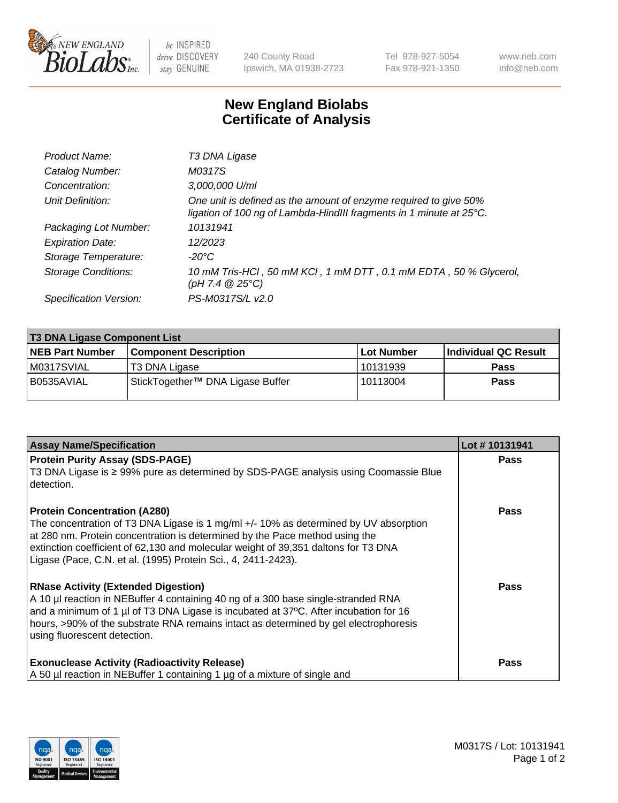

 $be$  INSPIRED drive DISCOVERY stay GENUINE

240 County Road Ipswich, MA 01938-2723 Tel 978-927-5054 Fax 978-921-1350 www.neb.com info@neb.com

## **New England Biolabs Certificate of Analysis**

| Product Name:              | T3 DNA Ligase                                                                                                                           |
|----------------------------|-----------------------------------------------------------------------------------------------------------------------------------------|
| Catalog Number:            | M0317S                                                                                                                                  |
| Concentration:             | 3,000,000 U/ml                                                                                                                          |
| Unit Definition:           | One unit is defined as the amount of enzyme required to give 50%<br>ligation of 100 ng of Lambda-HindIII fragments in 1 minute at 25°C. |
| Packaging Lot Number:      | 10131941                                                                                                                                |
| <b>Expiration Date:</b>    | 12/2023                                                                                                                                 |
| Storage Temperature:       | -20°C                                                                                                                                   |
| <b>Storage Conditions:</b> | 10 mM Tris-HCl, 50 mM KCl, 1 mM DTT, 0.1 mM EDTA, 50 % Glycerol,<br>(pH 7.4 $@25°C$ )                                                   |
| Specification Version:     | PS-M0317S/L v2.0                                                                                                                        |

| <b>T3 DNA Ligase Component List</b> |                                  |            |                      |  |
|-------------------------------------|----------------------------------|------------|----------------------|--|
| <b>NEB Part Number</b>              | <b>Component Description</b>     | Lot Number | Individual QC Result |  |
| M0317SVIAL                          | T3 DNA Ligase                    | 10131939   | <b>Pass</b>          |  |
| B0535AVIAL                          | StickTogether™ DNA Ligase Buffer | 10113004   | Pass                 |  |

| <b>Assay Name/Specification</b>                                                                                                                                                                                                                                                                                                                                   | Lot #10131941 |
|-------------------------------------------------------------------------------------------------------------------------------------------------------------------------------------------------------------------------------------------------------------------------------------------------------------------------------------------------------------------|---------------|
| <b>Protein Purity Assay (SDS-PAGE)</b><br>T3 DNA Ligase is ≥ 99% pure as determined by SDS-PAGE analysis using Coomassie Blue<br>detection.                                                                                                                                                                                                                       | <b>Pass</b>   |
| <b>Protein Concentration (A280)</b><br>The concentration of T3 DNA Ligase is 1 mg/ml +/- 10% as determined by UV absorption<br>at 280 nm. Protein concentration is determined by the Pace method using the<br>extinction coefficient of 62,130 and molecular weight of 39,351 daltons for T3 DNA<br>Ligase (Pace, C.N. et al. (1995) Protein Sci., 4, 2411-2423). | Pass          |
| <b>RNase Activity (Extended Digestion)</b><br>A 10 µl reaction in NEBuffer 4 containing 40 ng of a 300 base single-stranded RNA<br>and a minimum of 1 µl of T3 DNA Ligase is incubated at 37 $\degree$ C. After incubation for 16<br>hours, >90% of the substrate RNA remains intact as determined by gel electrophoresis<br>using fluorescent detection.         | Pass          |
| <b>Exonuclease Activity (Radioactivity Release)</b><br>A 50 µl reaction in NEBuffer 1 containing 1 µg of a mixture of single and                                                                                                                                                                                                                                  | Pass          |